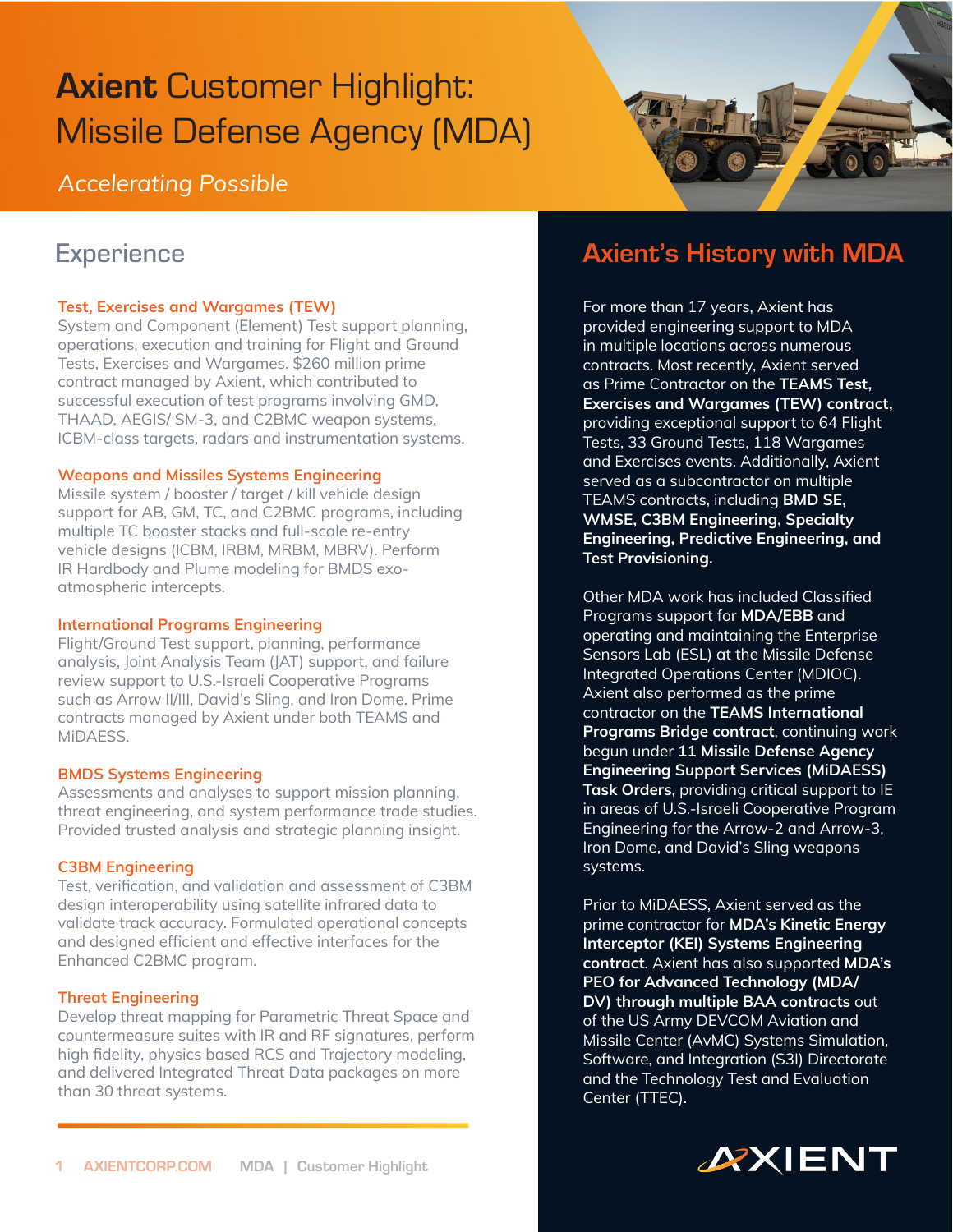# Axient Customer Highlight: Missile Defense Agency (MDA)

*Accelerating Possible* 

# **Experience**

### **Test, Exercises and Wargames (TEW)**

System and Component (Element) Test support planning, operations, execution and training for Flight and Ground Tests, Exercises and Wargames. \$260 million prime contract managed by Axient, which contributed to successful execution of test programs involving GMD, THAAD, AEGIS/ SM-3, and C2BMC weapon systems, ICBM-class targets, radars and instrumentation systems.

#### **Weapons and Missiles Systems Engineering**

Missile system / booster / target / kill vehicle design support for AB, GM, TC, and C2BMC programs, including multiple TC booster stacks and full-scale re-entry vehicle designs (ICBM, IRBM, MRBM, MBRV). Perform IR Hardbody and Plume modeling for BMDS exoatmospheric intercepts.

#### **International Programs Engineering**

Flight/Ground Test support, planning, performance analysis, Joint Analysis Team (JAT) support, and failure review support to U.S.-Israeli Cooperative Programs such as Arrow II/III, David's Sling, and Iron Dome. Prime contracts managed by Axient under both TEAMS and MiDAESS.

### **BMDS Systems Engineering**

Assessments and analyses to support mission planning, threat engineering, and system performance trade studies. Provided trusted analysis and strategic planning insight.

#### **C3BM Engineering**

Test, verification, and validation and assessment of C3BM design interoperability using satellite infrared data to validate track accuracy. Formulated operational concepts and designed efficient and effective interfaces for the Enhanced C2BMC program.

#### **Threat Engineering**

Develop threat mapping for Parametric Threat Space and countermeasure suites with IR and RF signatures, perform high fidelity, physics based RCS and Trajectory modeling, and delivered Integrated Threat Data packages on more than 30 threat systems.

# Axient's History with MDA

For more than 17 years, Axient has provided engineering support to MDA in multiple locations across numerous contracts. Most recently, Axient served as Prime Contractor on the **TEAMS Test, Exercises and Wargames (TEW) contract,** providing exceptional support to 64 Flight Tests, 33 Ground Tests, 118 Wargames and Exercises events. Additionally, Axient served as a subcontractor on multiple TEAMS contracts, including **BMD SE, WMSE, C3BM Engineering, Specialty Engineering, Predictive Engineering, and Test Provisioning.**

Other MDA work has included Classified Programs support for **MDA/EBB** and operating and maintaining the Enterprise Sensors Lab (ESL) at the Missile Defense Integrated Operations Center (MDIOC). Axient also performed as the prime contractor on the **TEAMS International Programs Bridge contract**, continuing work begun under **11 Missile Defense Agency Engineering Support Services (MiDAESS) Task Orders**, providing critical support to IE in areas of U.S.-Israeli Cooperative Program Engineering for the Arrow-2 and Arrow-3, Iron Dome, and David's Sling weapons systems.

Prior to MiDAESS, Axient served as the prime contractor for **MDA's Kinetic Energy Interceptor (KEI) Systems Engineering contract**. Axient has also supported **MDA's PEO for Advanced Technology (MDA/ DV) through multiple BAA contracts** out of the US Army DEVCOM Aviation and Missile Center (AvMC) Systems Simulation, Software, and Integration (S3I) Directorate and the Technology Test and Evaluation Center (TTEC).